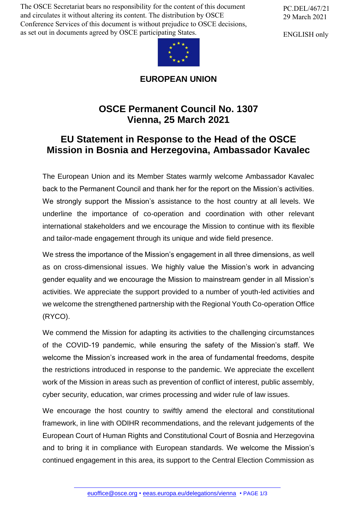The OSCE Secretariat bears no responsibility for the content of this document and circulates it without altering its content. The distribution by OSCE Conference Services of this document is without prejudice to OSCE decisions, as set out in documents agreed by OSCE participating States.



## **EUROPEAN UNION**

## **OSCE Permanent Council No. 1307 Vienna, 25 March 2021**

## **EU Statement in Response to the Head of the OSCE Mission in Bosnia and Herzegovina, Ambassador Kavalec**

The European Union and its Member States warmly welcome Ambassador Kavalec back to the Permanent Council and thank her for the report on the Mission's activities. We strongly support the Mission's assistance to the host country at all levels. We underline the importance of co-operation and coordination with other relevant international stakeholders and we encourage the Mission to continue with its flexible and tailor-made engagement through its unique and wide field presence.

We stress the importance of the Mission's engagement in all three dimensions, as well as on cross-dimensional issues. We highly value the Mission's work in advancing gender equality and we encourage the Mission to mainstream gender in all Mission's activities. We appreciate the support provided to a number of youth-led activities and we welcome the strengthened partnership with the Regional Youth Co-operation Office (RYCO).

We commend the Mission for adapting its activities to the challenging circumstances of the COVID-19 pandemic, while ensuring the safety of the Mission's staff. We welcome the Mission's increased work in the area of fundamental freedoms, despite the restrictions introduced in response to the pandemic. We appreciate the excellent work of the Mission in areas such as prevention of conflict of interest, public assembly, cyber security, education, war crimes processing and wider rule of law issues.

We encourage the host country to swiftly amend the electoral and constitutional framework, in line with ODIHR recommendations, and the relevant judgements of the European Court of Human Rights and Constitutional Court of Bosnia and Herzegovina and to bring it in compliance with European standards. We welcome the Mission's continued en[gagement in this](mailto:euoffice@osce.org) [area, its support to the Central E](http://eeas.europa.eu/delegations/vienna)lection Commission as

PC.DEL/467/21 29 March 2021

ENGLISH only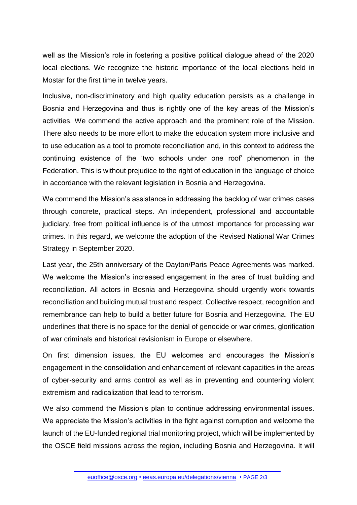well as the Mission's role in fostering a positive political dialogue ahead of the 2020 local elections. We recognize the historic importance of the local elections held in Mostar for the first time in twelve years.

Inclusive, non-discriminatory and high quality education persists as a challenge in Bosnia and Herzegovina and thus is rightly one of the key areas of the Mission's activities. We commend the active approach and the prominent role of the Mission. There also needs to be more effort to make the education system more inclusive and to use education as a tool to promote reconciliation and, in this context to address the continuing existence of the 'two schools under one roof' phenomenon in the Federation. This is without prejudice to the right of education in the language of choice in accordance with the relevant legislation in Bosnia and Herzegovina.

We commend the Mission's assistance in addressing the backlog of war crimes cases through concrete, practical steps. An independent, professional and accountable judiciary, free from political influence is of the utmost importance for processing war crimes. In this regard, we welcome the adoption of the Revised National War Crimes Strategy in September 2020.

Last year, the 25th anniversary of the Dayton/Paris Peace Agreements was marked. We welcome the Mission's increased engagement in the area of trust building and reconciliation. All actors in Bosnia and Herzegovina should urgently work towards reconciliation and building mutual trust and respect. Collective respect, recognition and remembrance can help to build a better future for Bosnia and Herzegovina. The EU underlines that there is no space for the denial of genocide or war crimes, glorification of war criminals and historical revisionism in Europe or elsewhere.

On first dimension issues, the EU welcomes and encourages the Mission's engagement in the consolidation and enhancement of relevant capacities in the areas of cyber-security and arms control as well as in preventing and countering violent extremism and radicalization that lead to terrorism.

We also commend the Mission's plan to continue addressing environmental issues. We appreciate the Mission's activities in the fight against corruption and welcome the launch of the EU-funded regional trial monitoring project, which will be implemented by the OSCE field missions across the region, including Bosnia and Herzegovina. It will